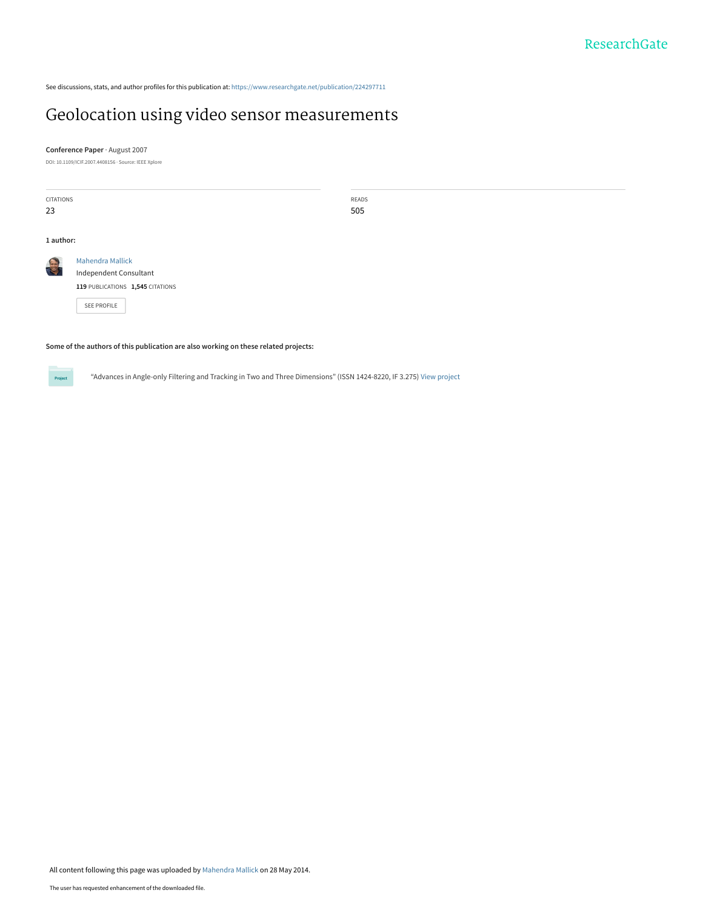See discussions, stats, and author profiles for this publication at: [https://www.researchgate.net/publication/224297711](https://www.researchgate.net/publication/224297711_Geolocation_using_video_sensor_measurements?enrichId=rgreq-d173b5ac732ba1f751c61ec9cb5695ca-XXX&enrichSource=Y292ZXJQYWdlOzIyNDI5NzcxMTtBUzoxMDE3NTg2ODQ2MzEwNDVAMTQwMTI3MjU2OTIzMg%3D%3D&el=1_x_2&_esc=publicationCoverPdf)

# [Geolocation using video sensor measurements](https://www.researchgate.net/publication/224297711_Geolocation_using_video_sensor_measurements?enrichId=rgreq-d173b5ac732ba1f751c61ec9cb5695ca-XXX&enrichSource=Y292ZXJQYWdlOzIyNDI5NzcxMTtBUzoxMDE3NTg2ODQ2MzEwNDVAMTQwMTI3MjU2OTIzMg%3D%3D&el=1_x_3&_esc=publicationCoverPdf)

**Conference Paper** · August 2007

Project

DOI: 10.1109/ICIF.2007.4408156 · Source: IEEE Xplore

| <b>CITATIONS</b> |                                  | READS |
|------------------|----------------------------------|-------|
| 23               |                                  | 505   |
|                  |                                  |       |
| 1 author:        |                                  |       |
|                  | <b>Mahendra Mallick</b>          |       |
|                  | Independent Consultant           |       |
|                  | 119 PUBLICATIONS 1,545 CITATIONS |       |
|                  | SEE PROFILE                      |       |

**Some of the authors of this publication are also working on these related projects:**

"Advances in Angle-only Filtering and Tracking in Two and Three Dimensions" (ISSN 1424-8220, IF 3.275) [View project](https://www.researchgate.net/project/Advances-in-Angle-only-Filtering-and-Tracking-in-Two-and-Three-Dimensions-ISSN-1424-8220-IF-3275?enrichId=rgreq-d173b5ac732ba1f751c61ec9cb5695ca-XXX&enrichSource=Y292ZXJQYWdlOzIyNDI5NzcxMTtBUzoxMDE3NTg2ODQ2MzEwNDVAMTQwMTI3MjU2OTIzMg%3D%3D&el=1_x_9&_esc=publicationCoverPdf)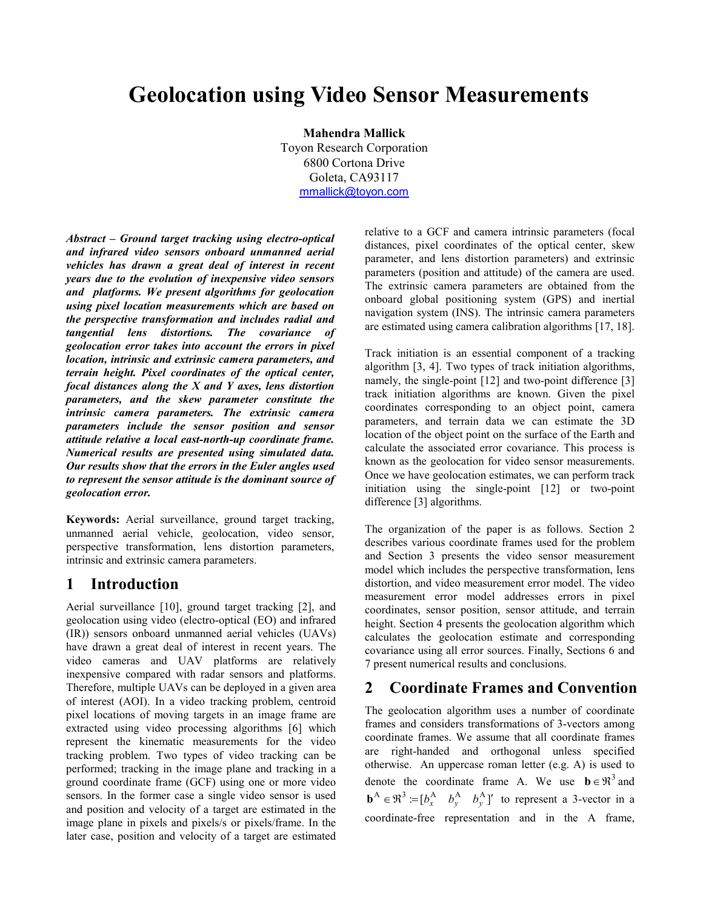# Geolocation using Video Sensor Measurements

Mahendra Mallick Toyon Research Corporation 6800 Cortona Drive Goleta, CA93117 mmallick@toyon.com

Abstract – Ground target tracking using electro-optical and infrared video sensors onboard unmanned aerial vehicles has drawn a great deal of interest in recent years due to the evolution of inexpensive video sensors and platforms. We present algorithms for geolocation using pixel location measurements which are based on the perspective transformation and includes radial and tangential lens distortions. The covariance of geolocation error takes into account the errors in pixel location, intrinsic and extrinsic camera parameters, and terrain height. Pixel coordinates of the optical center, focal distances along the  $X$  and  $Y$  axes, lens distortion parameters, and the skew parameter constitute the intrinsic camera parameters. The extrinsic camera parameters include the sensor position and sensor attitude relative a local east-north-up coordinate frame. Numerical results are presented using simulated data. Our results show that the errors in the Euler angles used to represent the sensor attitude is the dominant source of geolocation error.

Keywords: Aerial surveillance, ground target tracking, unmanned aerial vehicle, geolocation, video sensor, perspective transformation, lens distortion parameters, intrinsic and extrinsic camera parameters.

### 1 Introduction

Aerial surveillance [10], ground target tracking [2], and geolocation using video (electro-optical (EO) and infrared (IR)) sensors onboard unmanned aerial vehicles (UAVs) have drawn a great deal of interest in recent years. The video cameras and UAV platforms are relatively inexpensive compared with radar sensors and platforms. Therefore, multiple UAVs can be deployed in a given area of interest (AOI). In a video tracking problem, centroid pixel locations of moving targets in an image frame are extracted using video processing algorithms [6] which represent the kinematic measurements for the video tracking problem. Two types of video tracking can be performed; tracking in the image plane and tracking in a ground coordinate frame (GCF) using one or more video sensors. In the former case a single video sensor is used and position and velocity of a target are estimated in the image plane in pixels and pixels/s or pixels/frame. In the later case, position and velocity of a target are estimated

relative to a GCF and camera intrinsic parameters (focal distances, pixel coordinates of the optical center, skew parameter, and lens distortion parameters) and extrinsic parameters (position and attitude) of the camera are used. The extrinsic camera parameters are obtained from the onboard global positioning system (GPS) and inertial navigation system (INS). The intrinsic camera parameters are estimated using camera calibration algorithms [17, 18].

Track initiation is an essential component of a tracking algorithm [3, 4]. Two types of track initiation algorithms, namely, the single-point [12] and two-point difference [3] track initiation algorithms are known. Given the pixel coordinates corresponding to an object point, camera parameters, and terrain data we can estimate the 3D location of the object point on the surface of the Earth and calculate the associated error covariance. This process is known as the geolocation for video sensor measurements. Once we have geolocation estimates, we can perform track initiation using the single-point [12] or two-point difference [3] algorithms.

The organization of the paper is as follows. Section 2 describes various coordinate frames used for the problem and Section 3 presents the video sensor measurement model which includes the perspective transformation, lens distortion, and video measurement error model. The video measurement error model addresses errors in pixel coordinates, sensor position, sensor attitude, and terrain height. Section 4 presents the geolocation algorithm which calculates the geolocation estimate and corresponding covariance using all error sources. Finally, Sections 6 and 7 present numerical results and conclusions.

# 2 Coordinate Frames and Convention

The geolocation algorithm uses a number of coordinate frames and considers transformations of 3-vectors among coordinate frames. We assume that all coordinate frames are right-handed and orthogonal unless specified otherwise. An uppercase roman letter (e.g. A) is used to denote the coordinate frame A. We use  $\mathbf{b} \in \mathbb{R}^3$  and  $\mathbf{b}^{\mathbf{A}} \in \mathbb{R}^{3} := [b_{x}^{\mathbf{A}} \quad b_{y}^{\mathbf{A}} \quad b_{y}^{\mathbf{A}}]$ ' to represent a 3-vector in a coordinate-free representation and in the A frame,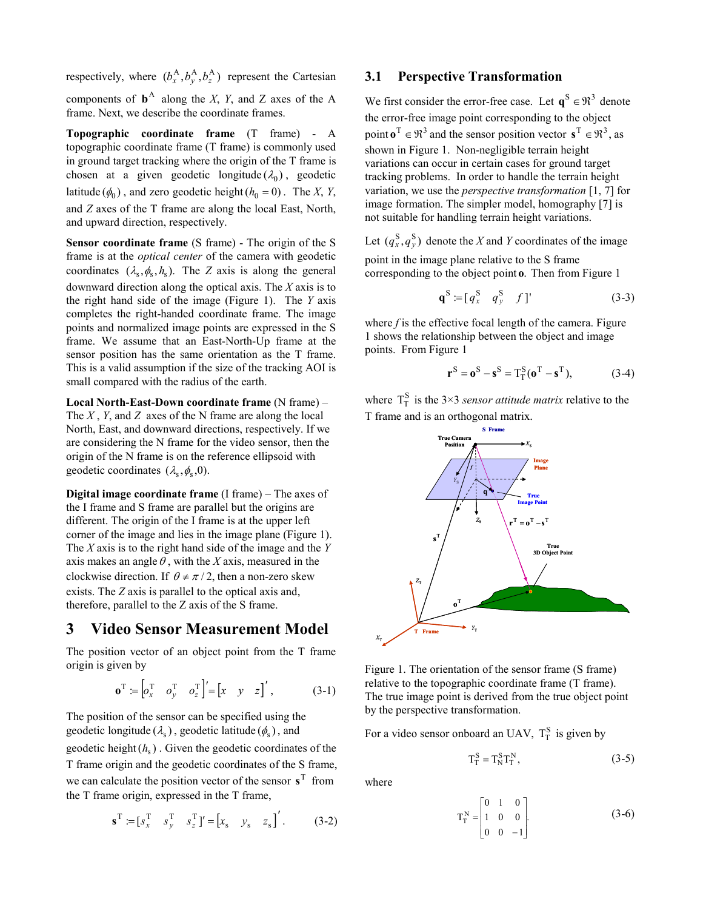respectively, where  $(b_x^A, b_y^A, b_z^A)$  represent the Cartesian components of  $\mathbf{b}^{\mathbf{A}}$  along the X, Y, and Z axes of the A

frame. Next, we describe the coordinate frames.

Topographic coordinate frame (T frame) - A topographic coordinate frame (T frame) is commonly used in ground target tracking where the origin of the T frame is chosen at a given geodetic longitude  $(\lambda_0)$ , geodetic latitude  $(\phi_0)$ , and zero geodetic height  $(h_0 = 0)$ . The X, Y, and Z axes of the T frame are along the local East, North, and upward direction, respectively.

Sensor coordinate frame (S frame) - The origin of the S frame is at the optical center of the camera with geodetic coordinates  $(\lambda_s, \phi_s, h_s)$ . The Z axis is along the general downward direction along the optical axis. The  $X$  axis is to the right hand side of the image (Figure 1). The Y axis completes the right-handed coordinate frame. The image points and normalized image points are expressed in the S frame. We assume that an East-North-Up frame at the sensor position has the same orientation as the T frame. This is a valid assumption if the size of the tracking AOI is small compared with the radius of the earth.

Local North-East-Down coordinate frame (N frame) – The  $X$ ,  $Y$ , and  $Z$  axes of the N frame are along the local North, East, and downward directions, respectively. If we are considering the N frame for the video sensor, then the origin of the N frame is on the reference ellipsoid with geodetic coordinates  $(\lambda_s, \phi_s, 0)$ .

Digital image coordinate frame (I frame) – The axes of the I frame and S frame are parallel but the origins are different. The origin of the I frame is at the upper left corner of the image and lies in the image plane (Figure 1). The  $X$  axis is to the right hand side of the image and the  $Y$ axis makes an angle  $\theta$ , with the X axis, measured in the clockwise direction. If  $\theta \neq \pi/2$ , then a non-zero skew exists. The Z axis is parallel to the optical axis and, therefore, parallel to the Z axis of the S frame.

## 3 Video Sensor Measurement Model

The position vector of an object point from the T frame origin is given by

$$
\mathbf{o}^{\mathrm{T}} := \begin{bmatrix} o_{x}^{\mathrm{T}} & o_{y}^{\mathrm{T}} & o_{z}^{\mathrm{T}} \end{bmatrix}' = \begin{bmatrix} x & y & z \end{bmatrix}', \quad (3-1)
$$

The position of the sensor can be specified using the geodetic longitude  $(\lambda_s)$ , geodetic latitude  $(\phi_s)$ , and geodetic height  $(h_s)$ . Given the geodetic coordinates of the T frame origin and the geodetic coordinates of the S frame, we can calculate the position vector of the sensor  $s^T$  from the T frame origin, expressed in the T frame,

$$
\mathbf{s}^{\mathrm{T}} := [s_x^{\mathrm{T}} \quad s_y^{\mathrm{T}} \quad s_z^{\mathrm{T}}]^{\prime} = [x_s \quad y_s \quad z_s]^{\prime}.
$$
 (3-2)

#### 3.1 Perspective Transformation

We first consider the error-free case. Let  $q^S \in \mathbb{R}^3$  denote the error-free image point corresponding to the object point  $\mathbf{o}^T \in \mathbb{R}^3$  and the sensor position vector  $\mathbf{s}^T \in \mathbb{R}^3$ , as shown in Figure 1. Non-negligible terrain height variations can occur in certain cases for ground target tracking problems. In order to handle the terrain height variation, we use the *perspective transformation*  $[1, 7]$  for image formation. The simpler model, homography [7] is not suitable for handling terrain height variations.

Let  $(q_x^S, q_y^S)$  denote the X and Y coordinates of the image point in the image plane relative to the S frame

corresponding to the object point o. Then from Figure 1

$$
\mathbf{q}^{\mathrm{S}} := [q_x^{\mathrm{S}} \quad q_y^{\mathrm{S}} \quad f]'
$$
 (3-3)

where  $f$  is the effective focal length of the camera. Figure 1 shows the relationship between the object and image points. From Figure 1

$$
\mathbf{r}^{\mathrm{S}} = \mathbf{o}^{\mathrm{S}} - \mathbf{s}^{\mathrm{S}} = \mathrm{T}_{\mathrm{T}}^{\mathrm{S}} (\mathbf{o}^{\mathrm{T}} - \mathbf{s}^{\mathrm{T}}), \tag{3-4}
$$

where  $T_T^S$  is the 3×3 sensor attitude matrix relative to the T frame and is an orthogonal matrix.



Figure 1. The orientation of the sensor frame (S frame) relative to the topographic coordinate frame (T frame). The true image point is derived from the true object point by the perspective transformation.

For a video sensor onboard an UAV,  $T_T^S$  is given by

$$
T_T^S = T_N^S T_T^N, \tag{3-5}
$$

where

$$
T_{T}^{N} = \begin{bmatrix} 0 & 1 & 0 \\ 1 & 0 & 0 \\ 0 & 0 & -1 \end{bmatrix}.
$$
 (3-6)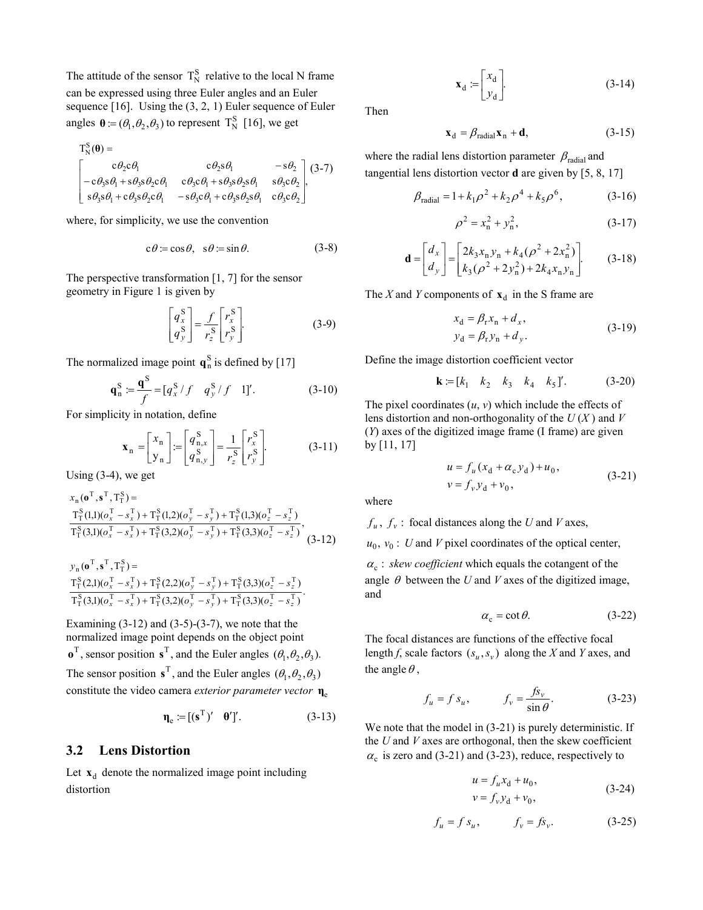The attitude of the sensor  $T_N^S$  relative to the local N frame can be expressed using three Euler angles and an Euler sequence [16]. Using the (3, 2, 1) Euler sequence of Euler angles  $\theta = (\theta_1, \theta_2, \theta_3)$  to represent  $T_N^S$  [16], we get

$$
T_N^S(\theta) = \begin{bmatrix} c\theta_2 c\theta_1 & c\theta_2 s\theta_1 & -s\theta_2 \\ -c\theta_3 s\theta_1 + s\theta_3 s\theta_2 c\theta_1 & c\theta_3 c\theta_1 + s\theta_3 s\theta_2 s\theta_1 & s\theta_3 c\theta_2 \\ s\theta_3 s\theta_1 + c\theta_3 s\theta_2 c\theta_1 & -s\theta_3 c\theta_1 + c\theta_3 s\theta_2 s\theta_1 & c\theta_3 c\theta_2 \end{bmatrix} (3-7)
$$

where, for simplicity, we use the convention

$$
c\theta = \cos\theta, \quad s\theta = \sin\theta. \tag{3-8}
$$

The perspective transformation  $[1, 7]$  for the sensor geometry in Figure 1 is given by

$$
\begin{bmatrix} q_x^{\rm S} \\ q_y^{\rm S} \end{bmatrix} = \frac{f}{r_z^{\rm S}} \begin{bmatrix} r_x^{\rm S} \\ r_y^{\rm S} \end{bmatrix}.
$$
 (3-9)

The normalized image point  $\mathbf{q}_n^S$  is defined by [17]

$$
\mathbf{q}_n^{\rm S} := \frac{\mathbf{q}^{\rm S}}{f} = [q_x^{\rm S}/f \quad q_y^{\rm S}/f \quad 1]'. \tag{3-10}
$$

For simplicity in notation, define

$$
\mathbf{x}_{\text{n}} = \begin{bmatrix} x_{\text{n}} \\ y_{\text{n}} \end{bmatrix} := \begin{bmatrix} q_{\text{n},x}^{\text{S}} \\ q_{\text{n},y}^{\text{S}} \end{bmatrix} = \frac{1}{r_z^{\text{S}}} \begin{bmatrix} r_x^{\text{S}} \\ r_y^{\text{S}} \end{bmatrix}.
$$
 (3-11)

Using (3-4), we get

$$
x_n(\mathbf{o}^T, \mathbf{s}^T, T_1^S) =
$$
  
\n
$$
\frac{T_1^S(1,1)(o_x^T - s_x^T) + T_1^S(1,2)(o_y^T - s_y^T) + T_1^S(1,3)(o_z^T - s_z^T)}{T_1^S(3,1)(o_x^T - s_x^T) + T_1^S(3,2)(o_y^T - s_y^T) + T_1^S(3,3)(o_z^T - s_z^T)}
$$
\n(3-12)

$$
y_{n}(\mathbf{0}^{T}, \mathbf{s}^{T}, T_{T}^{S}) =
$$
  
\n
$$
\frac{T_{T}^{S}(2,1)(o_{x}^{T} - s_{x}^{T}) + T_{T}^{S}(2,2)(o_{y}^{T} - s_{y}^{T}) + T_{T}^{S}(3,3)(o_{z}^{T} - s_{z}^{T})}{T_{T}^{S}(3,1)(o_{x}^{T} - s_{x}^{T}) + T_{T}^{S}(3,2)(o_{y}^{T} - s_{y}^{T}) + T_{T}^{S}(3,3)(o_{z}^{T} - s_{z}^{T})}.
$$

Examining  $(3-12)$  and  $(3-5)-(3-7)$ , we note that the normalized image point depends on the object point  $\mathbf{o}^{\mathrm{T}}$ , sensor position  $\mathbf{s}^{\mathrm{T}}$ , and the Euler angles  $(\theta_1, \theta_2, \theta_3)$ . The sensor position  $\mathbf{s}^T$ , and the Euler angles  $(\theta_1, \theta_2, \theta_3)$ constitute the video camera *exterior parameter vector*  $\eta_e$ 

$$
\mathbf{\eta}_e := [(\mathbf{s}^T)^\prime \quad \mathbf{\theta}^\prime]^\prime. \tag{3-13}
$$

#### 3.2 Lens Distortion

Let  $\mathbf{x}_d$  denote the normalized image point including distortion

$$
\mathbf{x}_{\mathbf{d}} := \begin{bmatrix} x_{\mathbf{d}} \\ y_{\mathbf{d}} \end{bmatrix} . \tag{3-14}
$$

Then

$$
\mathbf{x}_{d} = \beta_{\text{radial}} \mathbf{x}_{n} + \mathbf{d}, \qquad (3-15)
$$

where the radial lens distortion parameter  $\beta_{\text{radial}}$  and tangential lens distortion vector d are given by [5, 8, 17]

$$
\beta_{\text{radial}} = 1 + k_1 \rho^2 + k_2 \rho^4 + k_5 \rho^6, \tag{3-16}
$$

$$
\rho^2 = x_n^2 + y_n^2,\tag{3-17}
$$

$$
\mathbf{d} = \begin{bmatrix} d_x \\ d_y \end{bmatrix} = \begin{bmatrix} 2k_3x_ny_n + k_4(\rho^2 + 2x_n^2) \\ k_3(\rho^2 + 2y_n^2) + 2k_4x_ny_n \end{bmatrix} . \tag{3-18}
$$

The X and Y components of  $\mathbf{x}_d$  in the S frame are

$$
x_{d} = \beta_{r} x_{n} + d_{x},
$$
  
\n
$$
y_{d} = \beta_{r} y_{n} + d_{y}.
$$
\n(3-19)

Define the image distortion coefficient vector

$$
\mathbf{k} := [k_1 \quad k_2 \quad k_3 \quad k_4 \quad k_5]'. \tag{3-20}
$$

The pixel coordinates  $(u, v)$  which include the effects of lens distortion and non-orthogonality of the  $U(X)$  and V (Y) axes of the digitized image frame (I frame) are given by [11, 17]

$$
u = f_u(x_d + \alpha_c y_d) + u_0, \n v = f_v y_d + v_0,
$$
\n(3-21)

where

 $f_u$ ,  $f_v$ : focal distances along the U and V axes,

 $u_0$ ,  $v_0$ : *U* and *V* pixel coordinates of the optical center,

 $\alpha_{\rm c}$ : *skew coefficient* which equals the cotangent of the angle  $\theta$  between the U and V axes of the digitized image, and

$$
\alpha_{\rm c} = \cot \theta. \tag{3-22}
$$

The focal distances are functions of the effective focal length f, scale factors  $(s_u, s_v)$  along the X and Y axes, and the angle  $\theta$ ,

$$
f_u = f s_u, \qquad f_v = \frac{f s_v}{\sin \theta}.
$$
 (3-23)

We note that the model in  $(3-21)$  is purely deterministic. If the  $U$  and  $V$  axes are orthogonal, then the skew coefficient  $\alpha_c$  is zero and (3-21) and (3-23), reduce, respectively to

$$
u = f_u x_d + u_0,
$$
  
\n
$$
v = f_v y_d + v_0,
$$
\n(3-24)

$$
f_u = f s_u, \t\t f_v = f s_v.
$$
 (3-25)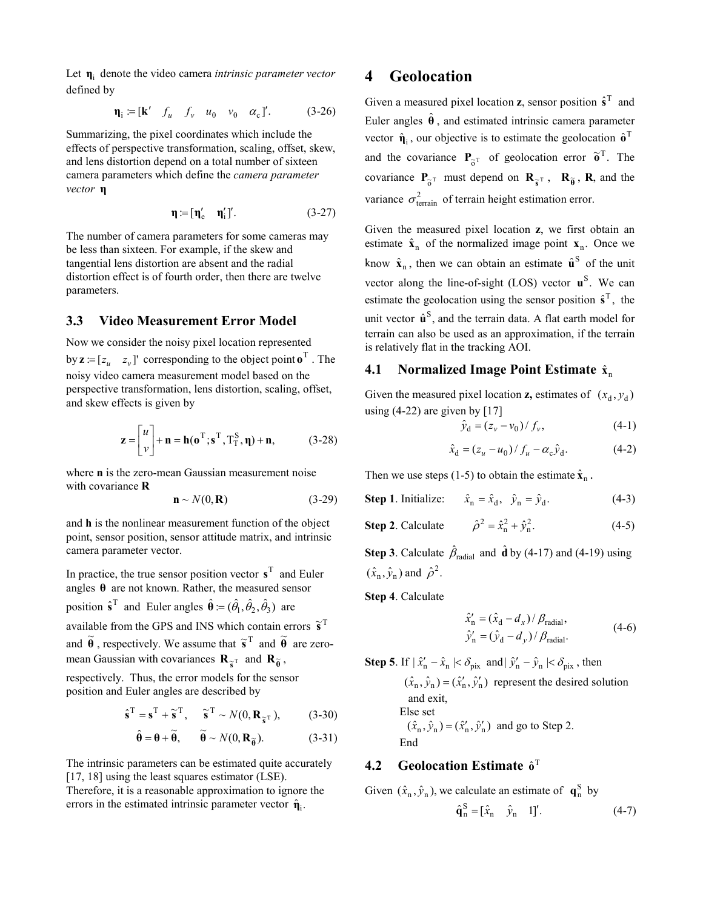Let  $\eta_i$  denote the video camera *intrinsic parameter vector* defined by

$$
\mathbf{\eta}_i \coloneqq [\mathbf{k}' \quad f_u \quad f_v \quad u_0 \quad v_0 \quad \alpha_c]'. \tag{3-26}
$$

Summarizing, the pixel coordinates which include the effects of perspective transformation, scaling, offset, skew, and lens distortion depend on a total number of sixteen camera parameters which define the camera parameter vector η

$$
\mathbf{\eta} := [\mathbf{\eta}'_e \quad \mathbf{\eta}'_i]'.
$$
 (3-27)

The number of camera parameters for some cameras may be less than sixteen. For example, if the skew and tangential lens distortion are absent and the radial distortion effect is of fourth order, then there are twelve parameters.

#### 3.3 Video Measurement Error Model

Now we consider the noisy pixel location represented by  $\mathbf{z} = [z_u \ z_v]$ ' corresponding to the object point  $\mathbf{o}^T$ . The noisy video camera measurement model based on the perspective transformation, lens distortion, scaling, offset, and skew effects is given by

$$
\mathbf{z} = \begin{bmatrix} u \\ v \end{bmatrix} + \mathbf{n} = \mathbf{h}(\mathbf{o}^{\mathrm{T}}; \mathbf{s}^{\mathrm{T}}, \mathbf{T}_{\mathrm{T}}^{\mathrm{S}}, \mathbf{\eta}) + \mathbf{n}, \tag{3-28}
$$

where n is the zero-mean Gaussian measurement noise with covariance R

$$
\mathbf{n} \sim N(0, \mathbf{R})\tag{3-29}
$$

and h is the nonlinear measurement function of the object point, sensor position, sensor attitude matrix, and intrinsic camera parameter vector.

In practice, the true sensor position vector  $s^T$  and Euler angles  $\theta$  are not known. Rather, the measured sensor position  $\hat{\mathbf{s}}^T$  and Euler angles  $\hat{\mathbf{\theta}} = (\hat{\theta}_1, \hat{\theta}_2, \hat{\theta}_3)$  are

available from the GPS and INS which contain errors  $\tilde{s}^T$ and  $\widetilde{\theta}$ , respectively. We assume that  $\widetilde{\mathbf{s}}^T$  and  $\widetilde{\theta}$  are zeromean Gaussian with covariances  $\mathbf{R}_{\tilde{s}^T}$  and  $\mathbf{R}_{\tilde{\theta}}$ ,

respectively. Thus, the error models for the sensor position and Euler angles are described by

$$
\hat{\mathbf{s}}^{\mathrm{T}} = \mathbf{s}^{\mathrm{T}} + \widetilde{\mathbf{s}}^{\mathrm{T}}, \quad \widetilde{\mathbf{s}}^{\mathrm{T}} \sim N(0, \mathbf{R}_{\widetilde{\mathbf{s}}^{\mathrm{T}}}), \quad (3\text{-}30)
$$

$$
\hat{\theta} = \theta + \widetilde{\theta}, \qquad \widetilde{\theta} \sim N(0, \mathbf{R}_{\widetilde{\theta}}). \tag{3-31}
$$

The intrinsic parameters can be estimated quite accurately [17, 18] using the least squares estimator (LSE). Therefore, it is a reasonable approximation to ignore the errors in the estimated intrinsic parameter vector  $\hat{\mathbf{\eta}}_i$ .

## 4 Geolocation

Given a measured pixel location z, sensor position  $\hat{\mathbf{s}}^T$  and Euler angles  $\hat{\theta}$ , and estimated intrinsic camera parameter vector  $\hat{\mathbf{\eta}}_i$ , our objective is to estimate the geolocation  $\hat{\mathbf{o}}^T$ and the covariance  $P_{\tilde{o}^T}$  of geolocation error  $\tilde{o}^T$ . The covariance  $P_{\tilde{o}^T}$  must depend on  $R_{\tilde{s}^T}$ ,  $R_{\tilde{\theta}}$ , R, and the variance  $\sigma_{\text{terrain}}^2$  of terrain height estimation error.

Given the measured pixel location z, we first obtain an estimate  $\hat{\mathbf{x}}_n$  of the normalized image point  $\mathbf{x}_n$ . Once we know  $\hat{\mathbf{x}}_n$ , then we can obtain an estimate  $\hat{\mathbf{u}}^S$  of the unit vector along the line-of-sight (LOS) vector  $\mathbf{u}^{\text{S}}$ . We can estimate the geolocation using the sensor position  $\hat{\mathbf{s}}^T$ , the unit vector  $\hat{\mathbf{u}}^{\text{S}}$ , and the terrain data. A flat earth model for terrain can also be used as an approximation, if the terrain is relatively flat in the tracking AOI.

### **4.1** Normalized Image Point Estimate  $\hat{\mathbf{x}}_{n}$

Given the measured pixel location **z**, estimates of  $(x_d, y_d)$ using  $(4-22)$  are given by [17]

$$
\hat{y}_d = (z_v - v_0) / f_v,
$$
\n(4-1)

$$
\hat{x}_{\rm d} = (z_u - u_0) / f_u - \alpha_{\rm c} \hat{y}_{\rm d}.
$$
 (4-2)

Then we use steps (1-5) to obtain the estimate  $\hat{\mathbf{x}}_n$ .

| Step 1. Initialize: | $x_n = x_d$ , $y_n = y_d$ . |  | $(4-3)$ |
|---------------------|-----------------------------|--|---------|

**Step 2**. Calculate  $\hat{\rho}^2 = \hat{x}_n^2 + \hat{y}_n^2$ . (4-5)

**Step 3**. Calculate  $\hat{\beta}_{\text{radial}}$  and  $\hat{\mathbf{d}}$  by (4-17) and (4-19) using  $(\hat{x}_n, \hat{y}_n)$  and  $\hat{\rho}^2$ .

Step 4. Calculate

$$
\hat{x}'_{n} = (\hat{x}_{d} - d_{x})/\beta_{\text{radial}},
$$
  
\n
$$
\hat{y}'_{n} = (\hat{y}_{d} - d_{y})/\beta_{\text{radial}}.
$$
\n(4-6)

**Step 5.** If 
$$
|\hat{x}'_n - \hat{x}_n| < \delta_{pix}
$$
 and  $|\hat{y}'_n - \hat{y}_n| < \delta_{pix}$ , then  
\n $(\hat{x}_n, \hat{y}_n) = (\hat{x}'_n, \hat{y}'_n)$  represent the desired solution  
\nand exit,  
\nElse set  
\n $(\hat{x}_n, \hat{y}_n) = (\hat{x}'_n, \hat{y}'_n)$  and go to Step 2.  
\nEnd

#### **4.2** Geolocation Estimate  $\hat{\mathbf{o}}^T$

Given  $(\hat{x}_n, \hat{y}_n)$ , we calculate an estimate of  $\mathbf{q}_n^S$  by

$$
\hat{\mathbf{q}}_n^{\mathbf{S}} = [\hat{x}_n \quad \hat{y}_n \quad 1]'.\tag{4-7}
$$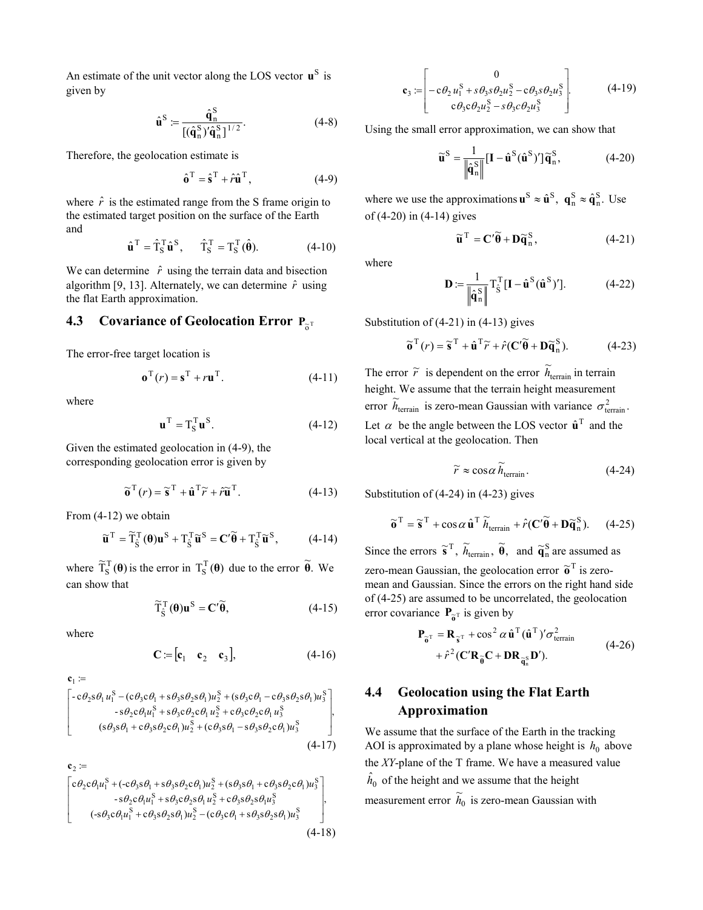An estimate of the unit vector along the LOS vector  $\mathbf{u}^{\mathbf{S}}$  is given by

$$
\hat{\mathbf{u}}^{\mathrm{S}} \coloneqq \frac{\hat{\mathbf{q}}_n^{\mathrm{S}}}{\left[ (\hat{\mathbf{q}}_n^{\mathrm{S}})' \hat{\mathbf{q}}_n^{\mathrm{S}} \right]^{1/2}}.
$$
 (4-8)

Therefore, the geolocation estimate is

$$
\hat{\mathbf{o}}^{\mathrm{T}} = \hat{\mathbf{s}}^{\mathrm{T}} + \hat{r}\hat{\mathbf{u}}^{\mathrm{T}}, \qquad (4-9)
$$

where  $\hat{r}$  is the estimated range from the S frame origin to the estimated target position on the surface of the Earth and

$$
\hat{\mathbf{u}}^{\mathrm{T}} = \hat{\mathbf{T}}_{\mathrm{S}}^{\mathrm{T}} \hat{\mathbf{u}}^{\mathrm{S}}, \qquad \hat{\mathbf{T}}_{\mathrm{S}}^{\mathrm{T}} = \mathbf{T}_{\mathrm{S}}^{\mathrm{T}} (\hat{\mathbf{\theta}}). \tag{4-10}
$$

We can determine  $\hat{r}$  using the terrain data and bisection algorithm [9, 13]. Alternately, we can determine  $\hat{r}$  using the flat Earth approximation.

# 4.3 Covariance of Geolocation Error  $\mathbf{P}_{\widetilde{\mathbf{o}}^{\mathrm{T}}}$

The error-free target location is

$$
\mathbf{o}^{\mathrm{T}}(r) = \mathbf{s}^{\mathrm{T}} + r\mathbf{u}^{\mathrm{T}}.\tag{4-11}
$$

where

$$
\mathbf{u}^{\mathrm{T}} = \mathrm{T}_{\mathrm{S}}^{\mathrm{T}} \mathbf{u}^{\mathrm{S}}.
$$
 (4-12)

Given the estimated geolocation in (4-9), the corresponding geolocation error is given by

$$
\widetilde{\mathbf{o}}^{\mathrm{T}}(r) = \widetilde{\mathbf{s}}^{\mathrm{T}} + \widehat{\mathbf{u}}^{\mathrm{T}} \widetilde{r} + \widetilde{r} \widetilde{\mathbf{u}}^{\mathrm{T}}.
$$
 (4-13)

From (4-12) we obtain

$$
\widetilde{\mathbf{u}}^{\mathrm{T}} = \widetilde{\mathbf{T}}_{\hat{\mathbf{S}}}^{\mathrm{T}}(\boldsymbol{\theta}) \mathbf{u}^{\mathrm{S}} + \mathbf{T}_{\hat{\mathbf{S}}}^{\mathrm{T}} \widetilde{\mathbf{u}}^{\mathrm{S}} = \mathbf{C}' \widetilde{\boldsymbol{\theta}} + \mathbf{T}_{\hat{\mathbf{S}}}^{\mathrm{T}} \widetilde{\mathbf{u}}^{\mathrm{S}}, \qquad (4\text{-}14)
$$

where  $\tilde{T}_{S}^{T}(\theta)$  is the error in  $T_{S}^{T}(\theta)$  due to the error  $\tilde{\theta}$ . We can show that

$$
\widetilde{T}_{\hat{S}}^{T}(\boldsymbol{\theta})\mathbf{u}^{S} = \mathbf{C}'\widetilde{\boldsymbol{\theta}}, \qquad (4-15)
$$

where

$$
\mathbf{C} := [\mathbf{c}_1 \quad \mathbf{c}_2 \quad \mathbf{c}_3],\tag{4-16}
$$

$$
\mathbf{c}_{1} := \begin{bmatrix} -c\theta_{2}s\theta_{1}u_{1}^{S} - (c\theta_{3}c\theta_{1} + s\theta_{3}s\theta_{2}s\theta_{1})u_{2}^{S} + (s\theta_{3}c\theta_{1} - c\theta_{3}s\theta_{2}s\theta_{1})u_{3}^{S} \\ -s\theta_{2}c\theta_{1}u_{1}^{S} + s\theta_{3}c\theta_{2}c\theta_{1}u_{2}^{S} + c\theta_{3}c\theta_{2}c\theta_{1}u_{3}^{S} \\ (s\theta_{3}s\theta_{1} + c\theta_{3}s\theta_{2}c\theta_{1})u_{2}^{S} + (c\theta_{3}s\theta_{1} - s\theta_{3}s\theta_{2}c\theta_{1})u_{3}^{S} \end{bmatrix},
$$
\n
$$
(4-17)
$$

$$
\mathbf{c}_{2} = \begin{bmatrix} c_{2} = & c_{2} = & c_{2} = & c_{2} = & c_{2} = & c_{2} = & c_{2} = & c_{2} = & c_{2} = & c_{2} = & c_{2} = & c_{2} = & c_{2} = & c_{2} = & c_{2} = & c_{2} = & c_{2} = & c_{2} = & c_{2} = & c_{2} = & c_{2} = & c_{2} = & c_{2} = & c_{2} = & c_{2} = & c_{2} = & c_{2} = & c_{2} = & c_{2} = & c_{2} = & c_{2} = & c_{2} = & c_{2} = & c_{2} = & c_{2} = & c_{2} = & c_{2} = & c_{2} = & c_{2} = & c_{2} = & c_{2} = & c_{2} = & c_{2} = & c_{2} = & c_{2} = & c_{2} = & c_{2} = & c_{2} = & c_{2} = & c_{2} = & c_{2} = & c_{2} = & c_{2} = & c_{2} = & c_{2} = & c_{2} = & c_{2} = & c_{2} = & c_{2} = & c_{2} = & c_{2} = & c_{2} = & c_{2} = & c_{2} = & c_{2} = & c_{2} = & c_{2} = & c_{2} = & c_{2} = & c_{2} = & c_{2} = & c_{2} = & c_{2} = & c_{2} = & c_{2} = & c_{2} = & c_{2} = & c_{2} = & c_{2} = & c_{2} = & c_{2} = & c_{2} = & c_{2} = & c_{2} = & c_{2} = & c_{2} = & c_{2} = & c_{2} = & c_{2} = & c_{2} = & c_{2} = & c_{2} = & c_{2} = & c_{2} = & c_{2} = & c_{2} = & c_{2} = & c_{2} = & c_{2} = & c_{2} = & c_{2} = & c_{2} = & c_{2} = & c_{2} = & c_{2} = & c_{2} = & c_{2} = & c_{2} = & c_{2} = & c_{2} = & c_{2} = & c_{2} = & c_{2} = & c_{2} = & c_{2} = & c_{2} = & c_{2} = & c_{2} = & c_{2} = & c_{2} = & c_{2} = & c_{2} = & c_{2} = & c_{2} = & c
$$

$$
\mathbf{c}_3 := \begin{bmatrix} 0 \\ -c\theta_2 u_1^S + s\theta_3 s\theta_2 u_2^S - c\theta_3 s\theta_2 u_3^S \\ c\theta_3 c\theta_2 u_2^S - s\theta_3 c\theta_2 u_3^S \end{bmatrix} .
$$
 (4-19)

Using the small error approximation, we can show that

$$
\widetilde{\mathbf{u}}^{S} = \frac{1}{\|\hat{\mathbf{q}}_{n}^{S}\|} [\mathbf{I} - \hat{\mathbf{u}}^{S} (\hat{\mathbf{u}}^{S})'] \widetilde{\mathbf{q}}_{n}^{S},
$$
(4-20)

where we use the approximations  $\mathbf{u}^{\text{S}} \approx \hat{\mathbf{u}}^{\text{S}}$ ,  $\mathbf{q}_{\text{n}}^{\text{S}} \approx \hat{\mathbf{q}}^{\text{S}}$ . Use of (4-20) in (4-14) gives

$$
\widetilde{\mathbf{u}}^{\mathrm{T}} = \mathbf{C}' \widetilde{\boldsymbol{\theta}} + \mathbf{D} \widetilde{\mathbf{q}}_{n}^{\mathrm{S}}, \qquad (4-21)
$$

where

$$
\mathbf{D} := \frac{1}{\|\hat{\mathbf{q}}_{n}^{\mathbf{S}}\|} \mathbf{T}_{\hat{\mathbf{S}}}^{\mathbf{T}} [\mathbf{I} - \hat{\mathbf{u}}^{\mathbf{S}} (\hat{\mathbf{u}}^{\mathbf{S}})'].
$$
 (4-22)

Substitution of (4-21) in (4-13) gives

$$
\widetilde{\mathbf{o}}^{\mathrm{T}}(r) = \widetilde{\mathbf{s}}^{\mathrm{T}} + \hat{\mathbf{u}}^{\mathrm{T}}\widetilde{r} + \hat{r}(\mathbf{C}'\widetilde{\mathbf{\theta}} + \mathbf{D}\widetilde{\mathbf{q}}_{n}^{\mathrm{S}}).
$$
 (4-23)

The error  $\tilde{r}$  is dependent on the error  $\tilde{h}_{\text{ternain}}$  in terrain height. We assume that the terrain height measurement error  $\widetilde{h}_{\text{terrain}}$  is zero-mean Gaussian with variance  $\sigma_{\text{terrain}}^2$ . Let  $\alpha$  be the angle between the LOS vector  $\hat{\mathbf{u}}^{\text{T}}$  and the local vertical at the geolocation. Then

$$
\widetilde{r} \approx \cos \alpha \widetilde{h}_{\text{ternain}}.\tag{4-24}
$$

Substitution of (4-24) in (4-23) gives

$$
\widetilde{\mathbf{o}}^{\mathrm{T}} = \widetilde{\mathbf{s}}^{\mathrm{T}} + \cos \alpha \, \hat{\mathbf{u}}^{\mathrm{T}} \, \widetilde{h}_{\text{ternin}} + \hat{r} (\mathbf{C}' \widetilde{\mathbf{\theta}} + \mathbf{D} \widetilde{\mathbf{q}}_{\mathrm{n}}^{\mathrm{S}}). \qquad (4\text{-}25)
$$

Since the errors  $\tilde{s}^T$ ,  $\tilde{h}_{\text{ternain}}$ ,  $\tilde{\theta}$ , and  $\tilde{q}_n^S$  are assumed as zero-mean Gaussian, the geolocation error  $\tilde{\mathbf{o}}^T$  is zeromean and Gaussian. Since the errors on the right hand side of (4-25) are assumed to be uncorrelated, the geolocation error covariance  $P_{\tilde{\sigma}^T}$  is given by

$$
\mathbf{P}_{\tilde{\mathbf{o}}^{\mathrm{T}}} = \mathbf{R}_{\tilde{\mathbf{s}}^{\mathrm{T}}} + \cos^2 \alpha \, \hat{\mathbf{u}}^{\mathrm{T}} (\hat{\mathbf{u}}^{\mathrm{T}})' \sigma_{\mathrm{terrain}}^2 + \hat{r}^2 (\mathbf{C}' \mathbf{R}_{\tilde{\mathbf{0}}} \mathbf{C} + \mathbf{D} \mathbf{R}_{\tilde{\mathbf{q}}_n^{\mathrm{s}}} \mathbf{D}').
$$
 (4-26)

### 4.4 Geolocation using the Flat Earth Approximation

We assume that the surface of the Earth in the tracking AOI is approximated by a plane whose height is  $h_0$  above the XY-plane of the T frame. We have a measured value  $\hat{h}_0$  of the height and we assume that the height measurement error  $heta_0$  is zero-mean Gaussian with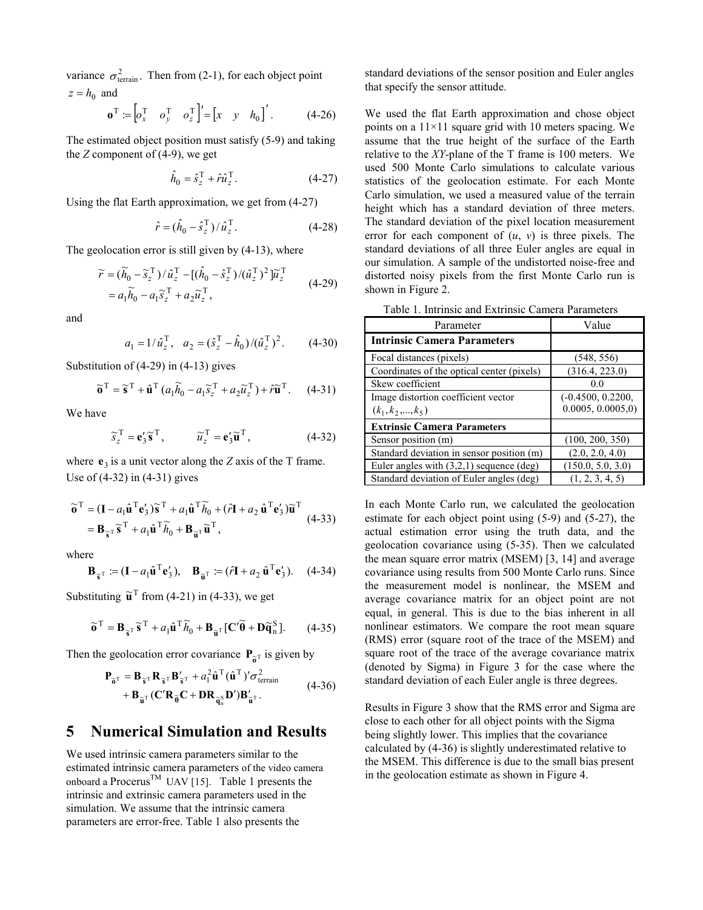variance  $\sigma_{\text{terrain}}^2$ . Then from (2-1), for each object point  $z = h_0$  and

$$
\mathbf{o}^{\mathrm{T}} := \begin{bmatrix} o_{x}^{\mathrm{T}} & o_{y}^{\mathrm{T}} & o_{z}^{\mathrm{T}} \end{bmatrix}' = \begin{bmatrix} x & y & h_{0} \end{bmatrix}', \quad (4-26)
$$

The estimated object position must satisfy (5-9) and taking the  $Z$  component of  $(4-9)$ , we get

$$
\hat{h}_0 = \hat{s}_z^{\mathrm{T}} + \hat{r}\hat{u}_z^{\mathrm{T}}.
$$
 (4-27)

Using the flat Earth approximation, we get from (4-27)

$$
\hat{r} = (\hat{h}_0 - \hat{s}_z^{\mathrm{T}})/\hat{u}_z^{\mathrm{T}}.
$$
 (4-28)

The geolocation error is still given by (4-13), where

$$
\widetilde{r} = (\widetilde{h}_0 - \widetilde{s}_z^{\mathrm{T}})/\hat{u}_z^{\mathrm{T}} - [(\hat{h}_0 - \hat{s}_z^{\mathrm{T}})/(\hat{u}_z^{\mathrm{T}})^2] \widetilde{u}_z^{\mathrm{T}} \n= a_1 \widetilde{h}_0 - a_1 \widetilde{s}_z^{\mathrm{T}} + a_2 \widetilde{u}_z^{\mathrm{T}},
$$
\n(4-29)

and

$$
a_1 = 1/\hat{u}_z^T
$$
,  $a_2 = (\hat{s}_z^T - \hat{h}_0)/(\hat{u}_z^T)^2$ . (4-30)

Substitution of (4-29) in (4-13) gives

$$
\widetilde{\mathbf{0}}^{\mathrm{T}} = \widetilde{\mathbf{s}}^{\mathrm{T}} + \hat{\mathbf{u}}^{\mathrm{T}} \left( a_1 \widetilde{h}_0 - a_1 \widetilde{s}_z^{\mathrm{T}} + a_2 \widetilde{u}_z^{\mathrm{T}} \right) + \widetilde{r} \widetilde{\mathbf{u}}^{\mathrm{T}}.
$$
 (4-31)

We have

$$
\widetilde{s}_z^{\mathrm{T}} = \mathbf{e}_3' \widetilde{\mathbf{s}}^{\mathrm{T}}, \qquad \widetilde{u}_z^{\mathrm{T}} = \mathbf{e}_3' \widetilde{\mathbf{u}}^{\mathrm{T}}, \qquad (4\text{-}32)
$$

where  $\mathbf{e}_3$  is a unit vector along the Z axis of the T frame. Use of (4-32) in (4-31) gives

$$
\widetilde{\mathbf{0}}^{\mathrm{T}} = (\mathbf{I} - a_1 \hat{\mathbf{u}}^{\mathrm{T}} \mathbf{e}_3') \widetilde{\mathbf{s}}^{\mathrm{T}} + a_1 \hat{\mathbf{u}}^{\mathrm{T}} \widetilde{h}_0 + (\hat{r} \mathbf{I} + a_2 \hat{\mathbf{u}}^{\mathrm{T}} \mathbf{e}_3') \widetilde{\mathbf{u}}^{\mathrm{T}} \n= \mathbf{B}_{\widetilde{\mathbf{s}}^{\mathrm{T}}} \widetilde{\mathbf{s}}^{\mathrm{T}} + a_1 \hat{\mathbf{u}}^{\mathrm{T}} \widetilde{h}_0 + \mathbf{B}_{\widetilde{\mathbf{u}}^{\mathrm{T}}} \widetilde{\mathbf{u}}^{\mathrm{T}},
$$
\n(4-33)

where

$$
\mathbf{B}_{\widetilde{\mathbf{a}}^{\mathrm{T}}} := (\mathbf{I} - a_1 \hat{\mathbf{u}}^{\mathrm{T}} \mathbf{e}'_3), \quad \mathbf{B}_{\widetilde{\mathbf{u}}^{\mathrm{T}}} := (\hat{r}\mathbf{I} + a_2 \hat{\mathbf{u}}^{\mathrm{T}} \mathbf{e}'_3). \tag{4-34}
$$

Substituting  $\tilde{\mathbf{u}}^T$  from (4-21) in (4-33), we get

$$
\widetilde{\mathbf{0}}^{\mathrm{T}} = \mathbf{B}_{\widetilde{\mathbf{s}}^{\mathrm{T}}}\widetilde{\mathbf{s}}^{\mathrm{T}} + a_1 \widehat{\mathbf{u}}^{\mathrm{T}} \widetilde{h}_0 + \mathbf{B}_{\widetilde{\mathbf{u}}^{\mathrm{T}}}[\mathbf{C}'\widetilde{\mathbf{\theta}} + \mathbf{D}\widetilde{\mathbf{q}}_n^{\mathrm{S}}].
$$
 (4-35)

Then the geolocation error covariance  $P_{\tilde{o}^T}$  is given by

$$
\mathbf{P}_{\widetilde{\mathbf{0}}^{\mathrm{T}}} = \mathbf{B}_{\widetilde{\mathbf{S}}^{\mathrm{T}}} \mathbf{R}_{\widetilde{\mathbf{S}}^{\mathrm{T}}} \mathbf{B}_{\widetilde{\mathbf{S}}^{\mathrm{T}}}^{\prime} + a_1^2 \hat{\mathbf{u}}^{\mathrm{T}} (\hat{\mathbf{u}}^{\mathrm{T}})^{\prime} \sigma_{\mathrm{terrain}}^2 + \mathbf{B}_{\widetilde{\mathbf{u}}^{\mathrm{T}}} (\mathbf{C}^{\prime} \mathbf{R}_{\widetilde{\mathbf{0}}} \mathbf{C} + \mathbf{D} \mathbf{R}_{\widetilde{\mathbf{q}}^{\mathrm{S}}_{\mathrm{n}}} \mathbf{D}^{\prime}) \mathbf{B}_{\widetilde{\mathbf{u}}^{\mathrm{T}}}^{\prime}.
$$
 (4-36)

## 5 Numerical Simulation and Results

We used intrinsic camera parameters similar to the estimated intrinsic camera parameters of the video camera onboard a Procerus<sup>TM</sup> UAV [15]. Table 1 presents the intrinsic and extrinsic camera parameters used in the simulation. We assume that the intrinsic camera parameters are error-free. Table 1 also presents the

standard deviations of the sensor position and Euler angles that specify the sensor attitude.

We used the flat Earth approximation and chose object points on a  $11\times11$  square grid with 10 meters spacing. We assume that the true height of the surface of the Earth relative to the XY-plane of the T frame is 100 meters. We used 500 Monte Carlo simulations to calculate various statistics of the geolocation estimate. For each Monte Carlo simulation, we used a measured value of the terrain height which has a standard deviation of three meters. The standard deviation of the pixel location measurement error for each component of  $(u, v)$  is three pixels. The standard deviations of all three Euler angles are equal in our simulation. A sample of the undistorted noise-free and distorted noisy pixels from the first Monte Carlo run is shown in Figure 2.

| Tuolo 1. marmolo and Eathnolo Camola I alamolois    |                     |  |  |  |  |  |
|-----------------------------------------------------|---------------------|--|--|--|--|--|
| Parameter                                           | Value               |  |  |  |  |  |
| <b>Intrinsic Camera Parameters</b>                  |                     |  |  |  |  |  |
| Focal distances (pixels)                            | (548, 556)          |  |  |  |  |  |
| Coordinates of the optical center (pixels)          | (316.4, 223.0)      |  |  |  |  |  |
| Skew coefficient                                    | 0.0                 |  |  |  |  |  |
| Image distortion coefficient vector                 | $(-0.4500, 0.2200,$ |  |  |  |  |  |
| $(k_1, k_2, , k_5)$                                 | 0.0005, 0.0005, 0   |  |  |  |  |  |
| <b>Extrinsic Camera Parameters</b>                  |                     |  |  |  |  |  |
| Sensor position (m)                                 | (100, 200, 350)     |  |  |  |  |  |
| Standard deviation in sensor position (m)           | (2.0, 2.0, 4.0)     |  |  |  |  |  |
| Euler angles with $(3,2,1)$ sequence $(\text{deg})$ | (150.0, 5.0, 3.0)   |  |  |  |  |  |
| Standard deviation of Euler angles (deg)            | (1, 2, 3, 4, 5)     |  |  |  |  |  |

Table 1. Intrinsic and Extrinsic Camera Parameters

In each Monte Carlo run, we calculated the geolocation estimate for each object point using (5-9) and (5-27), the actual estimation error using the truth data, and the geolocation covariance using (5-35). Then we calculated the mean square error matrix (MSEM) [3, 14] and average covariance using results from 500 Monte Carlo runs. Since the measurement model is nonlinear, the MSEM and average covariance matrix for an object point are not equal, in general. This is due to the bias inherent in all nonlinear estimators. We compare the root mean square (RMS) error (square root of the trace of the MSEM) and square root of the trace of the average covariance matrix (denoted by Sigma) in Figure 3 for the case where the standard deviation of each Euler angle is three degrees.

Results in Figure 3 show that the RMS error and Sigma are close to each other for all object points with the Sigma being slightly lower. This implies that the covariance calculated by (4-36) is slightly underestimated relative to the MSEM. This difference is due to the small bias present in the geolocation estimate as shown in Figure 4.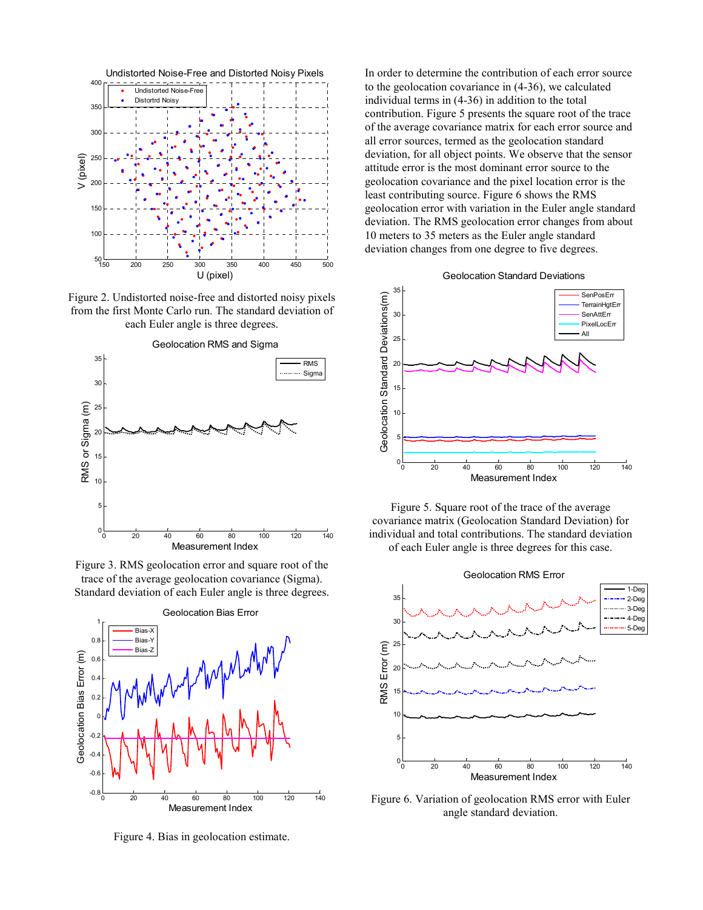

Figure 2. Undistorted noise-free and distorted noisy pixels from the first Monte Carlo run. The standard deviation of each Euler angle is three degrees.







Figure 4. Bias in geolocation estimate.

In order to determine the contribution of each error source to the geolocation covariance in (4-36), we calculated individual terms in (4-36) in addition to the total contribution. Figure 5 presents the square root of the trace of the average covariance matrix for each error source and all error sources, termed as the geolocation standard deviation, for all object points. We observe that the sensor attitude error is the most dominant error source to the geolocation covariance and the pixel location error is the least contributing source. Figure 6 shows the RMS geolocation error with variation in the Euler angle standard deviation. The RMS geolocation error changes from about 10 meters to 35 meters as the Euler angle standard deviation changes from one degree to five degrees.









Figure 6. Variation of geolocation RMS error with Euler angle standard deviation.